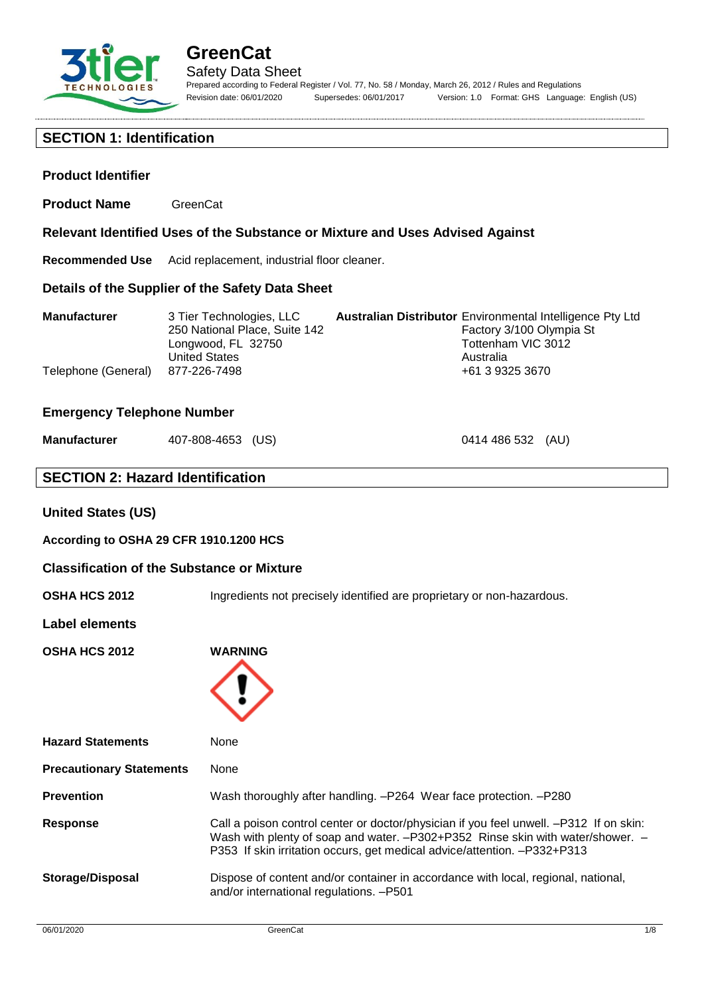

#### **SECTION 1: Identification**

#### **Product Identifier**

**Product Name** GreenCat

**Relevant Identified Uses of the Substance or Mixture and Uses Advised Against**

**Recommended Use** Acid replacement, industrial floor cleaner.

#### **Details of the Supplier of the Safety Data Sheet**

| <b>Manufacturer</b>              | 3 Tier Technologies, LLC      | <b>Australian Distributor</b> Environmental Intelligence Pty Ltd |
|----------------------------------|-------------------------------|------------------------------------------------------------------|
|                                  | 250 National Place, Suite 142 | Factory 3/100 Olympia St                                         |
|                                  | Longwood, FL 32750            | Tottenham VIC 3012                                               |
|                                  | <b>United States</b>          | Australia                                                        |
| Telephone (General) 877-226-7498 |                               | +61 3 9325 3670                                                  |

#### **Emergency Telephone Number**

| Manufacturer | 407-808-4653 (US) |  |
|--------------|-------------------|--|
|--------------|-------------------|--|

0414 486 532 (AU)

#### **SECTION 2: Hazard Identification**

#### **United States (US)**

**According to OSHA 29 CFR 1910.1200 HCS**

#### **Classification of the Substance or Mixture**

**OSHA HCS 2012** Ingredients not precisely identified are proprietary or non-hazardous.

#### **Label elements**

**OSHA HCS 2012 WARNING**



| <b>Hazard Statements</b>        | <b>None</b>                                                                                                                                                                                                                                          |
|---------------------------------|------------------------------------------------------------------------------------------------------------------------------------------------------------------------------------------------------------------------------------------------------|
| <b>Precautionary Statements</b> | None                                                                                                                                                                                                                                                 |
| <b>Prevention</b>               | Wash thoroughly after handling. - P264 Wear face protection. - P280                                                                                                                                                                                  |
| <b>Response</b>                 | Call a poison control center or doctor/physician if you feel unwell. -P312 If on skin:<br>Wash with plenty of soap and water. -P302+P352 Rinse skin with water/shower. -<br>P353 If skin irritation occurs, get medical advice/attention. -P332+P313 |
| <b>Storage/Disposal</b>         | Dispose of content and/or container in accordance with local, regional, national,<br>and/or international regulations. -P501                                                                                                                         |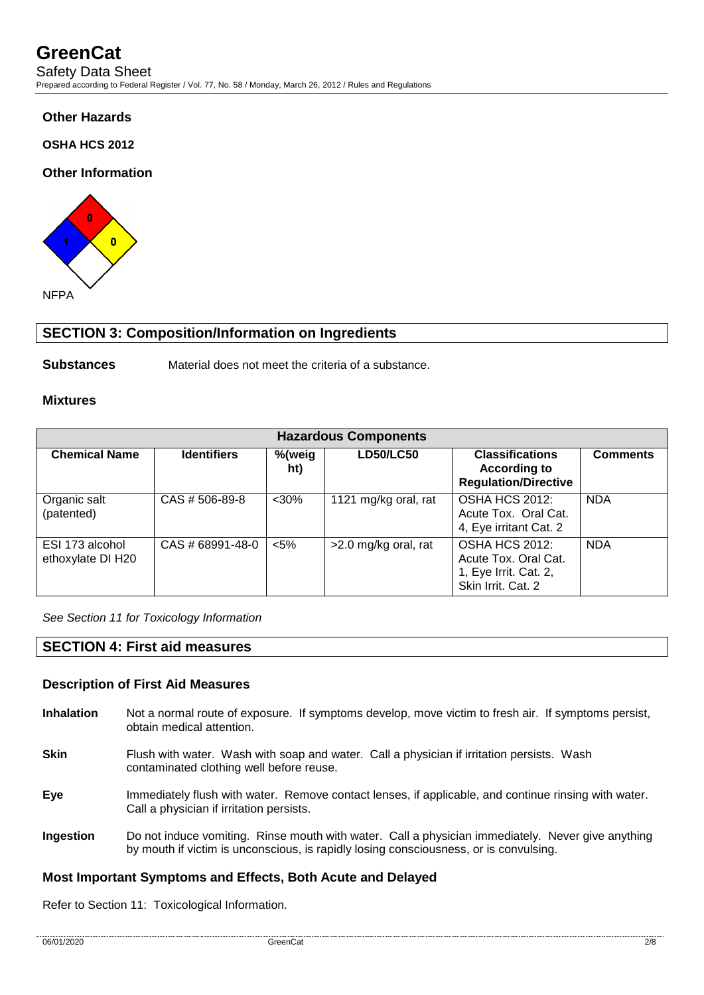#### **Other Hazards**

**OSHA HCS 2012**

#### **Other Information**



#### **SECTION 3: Composition/Information on Ingredients**

**Substances** Material does not meet the criteria of a substance.

#### **Mixtures**

| <b>Hazardous Components</b>          |                    |               |                      |                                                                                              |                 |
|--------------------------------------|--------------------|---------------|----------------------|----------------------------------------------------------------------------------------------|-----------------|
| <b>Chemical Name</b>                 | <b>Identifiers</b> | %(weig<br>ht) | <b>LD50/LC50</b>     | <b>Classifications</b><br><b>According to</b><br><b>Regulation/Directive</b>                 | <b>Comments</b> |
| Organic salt<br>(patented)           | CAS # 506-89-8     | $30%$         | 1121 mg/kg oral, rat | OSHA HCS 2012:<br>Acute Tox. Oral Cat.<br>4, Eye irritant Cat. 2                             | <b>NDA</b>      |
| ESI 173 alcohol<br>ethoxylate DI H20 | CAS # 68991-48-0   | $<$ 5%        | >2.0 mg/kg oral, rat | <b>OSHA HCS 2012:</b><br>Acute Tox, Oral Cat.<br>1, Eye Irrit. Cat. 2,<br>Skin Irrit. Cat. 2 | <b>NDA</b>      |

*See Section 11 for Toxicology Information*

#### **SECTION 4: First aid measures**

#### **Description of First Aid Measures**

- **Inhalation** Not a normal route of exposure. If symptoms develop, move victim to fresh air. If symptoms persist, obtain medical attention.
- **Skin** Flush with water. Wash with soap and water. Call a physician if irritation persists. Wash contaminated clothing well before reuse.
- **Eye** Immediately flush with water. Remove contact lenses, if applicable, and continue rinsing with water. Call a physician if irritation persists.
- **Ingestion** Do not induce vomiting. Rinse mouth with water. Call a physician immediately. Never give anything by mouth if victim is unconscious, is rapidly losing consciousness, or is convulsing.

#### **Most Important Symptoms and Effects, Both Acute and Delayed**

Refer to Section 11: Toxicological Information.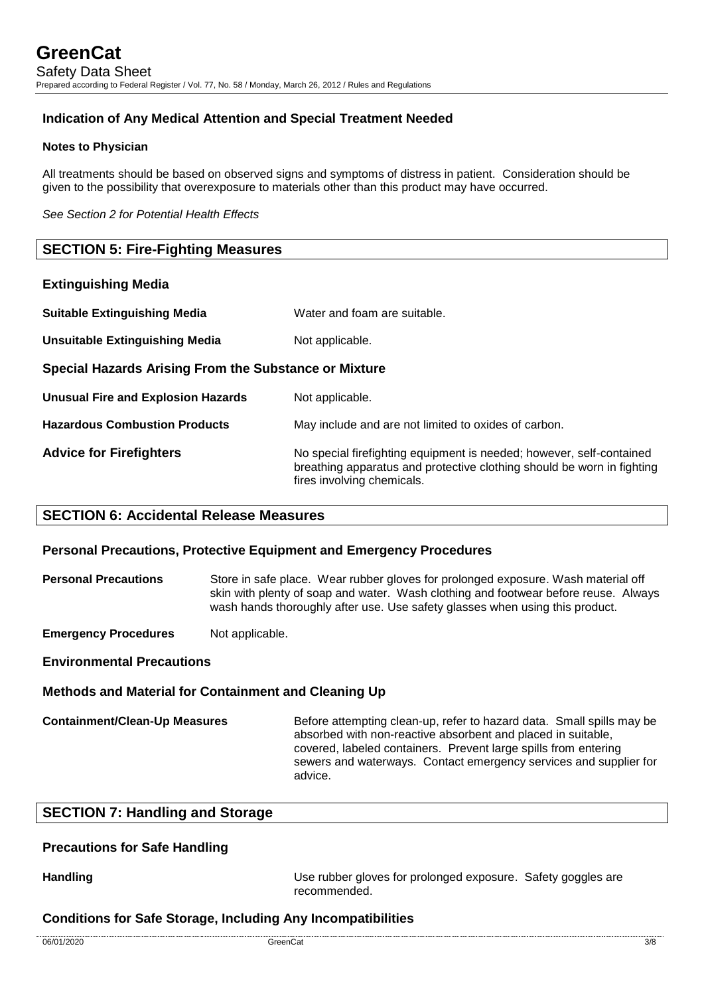#### **Indication of Any Medical Attention and Special Treatment Needed**

#### **Notes to Physician**

All treatments should be based on observed signs and symptoms of distress in patient. Consideration should be given to the possibility that overexposure to materials other than this product may have occurred.

*See Section 2 for Potential Health Effects*

#### **SECTION 5: Fire-Fighting Measures**

#### **Extinguishing Media**

| <b>Suitable Extinguishing Media</b>                   | Water and foam are suitable.                                                                                                                                                 |
|-------------------------------------------------------|------------------------------------------------------------------------------------------------------------------------------------------------------------------------------|
| <b>Unsuitable Extinguishing Media</b>                 | Not applicable.                                                                                                                                                              |
| Special Hazards Arising From the Substance or Mixture |                                                                                                                                                                              |
| <b>Unusual Fire and Explosion Hazards</b>             | Not applicable.                                                                                                                                                              |
| <b>Hazardous Combustion Products</b>                  | May include and are not limited to oxides of carbon.                                                                                                                         |
| <b>Advice for Firefighters</b>                        | No special firefighting equipment is needed; however, self-contained<br>breathing apparatus and protective clothing should be worn in fighting<br>fires involving chemicals. |

#### **SECTION 6: Accidental Release Measures**

#### **Personal Precautions, Protective Equipment and Emergency Procedures**

**Personal Precautions** Store in safe place. Wear rubber gloves for prolonged exposure. Wash material off skin with plenty of soap and water. Wash clothing and footwear before reuse. Always wash hands thoroughly after use. Use safety glasses when using this product.

**Emergency Procedures** Not applicable.

#### **Environmental Precautions**

#### **Methods and Material for Containment and Cleaning Up**

**Containment/Clean-Up Measures** Before attempting clean-up, refer to hazard data. Small spills may be absorbed with non-reactive absorbent and placed in suitable, covered, labeled containers. Prevent large spills from entering sewers and waterways. Contact emergency services and supplier for advice.

#### **SECTION 7: Handling and Storage**

#### **Precautions for Safe Handling**

**Handling Handling Example 20 Use rubber gloves for prolonged exposure.** Safety goggles are recommended.

#### **Conditions for Safe Storage, Including Any Incompatibilities**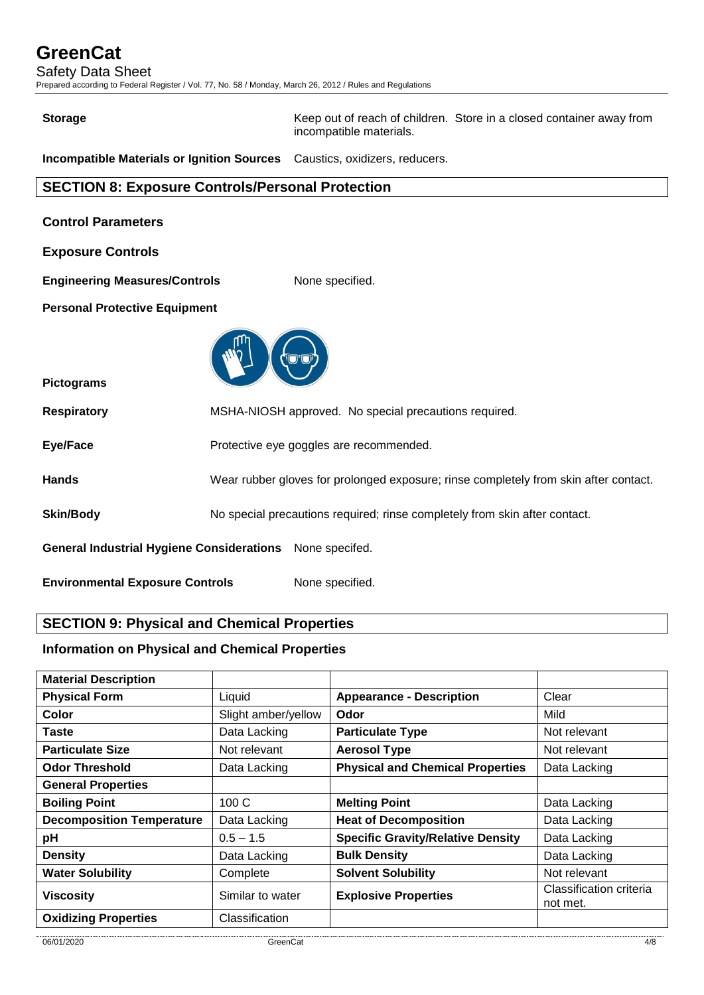Safety Data Sheet

Prepared according to Federal Register / Vol. 77, No. 58 / Monday, March 26, 2012 / Rules and Regulations

**Storage** Keep out of reach of children. Store in a closed container away from incompatible materials.

**Incompatible Materials or Ignition Sources** Caustics, oxidizers, reducers.

#### **SECTION 8: Exposure Controls/Personal Protection**

| <b>Control Parameters</b>                                          |                                                                                      |  |
|--------------------------------------------------------------------|--------------------------------------------------------------------------------------|--|
| <b>Exposure Controls</b>                                           |                                                                                      |  |
| <b>Engineering Measures/Controls</b>                               | None specified.                                                                      |  |
| <b>Personal Protective Equipment</b>                               |                                                                                      |  |
|                                                                    |                                                                                      |  |
| <b>Pictograms</b>                                                  |                                                                                      |  |
| <b>Respiratory</b>                                                 | MSHA-NIOSH approved. No special precautions required.                                |  |
| Eye/Face                                                           | Protective eye goggles are recommended.                                              |  |
| <b>Hands</b>                                                       | Wear rubber gloves for prolonged exposure; rinse completely from skin after contact. |  |
| <b>Skin/Body</b>                                                   | No special precautions required; rinse completely from skin after contact.           |  |
| <b>General Industrial Hygiene Considerations</b><br>None specifed. |                                                                                      |  |
| <b>Environmental Exposure Controls</b><br>None specified.          |                                                                                      |  |

### **SECTION 9: Physical and Chemical Properties**

#### **Information on Physical and Chemical Properties**

| <b>Appearance - Description</b><br>Clear<br>Liquid<br>Mild<br>Slight amber/yellow<br>Color<br>Odor<br>Data Lacking<br>Taste<br><b>Particulate Type</b><br>Not relevant<br><b>Particulate Size</b><br>Not relevant<br><b>Aerosol Type</b><br>Not relevant<br><b>Physical and Chemical Properties</b><br><b>Odor Threshold</b><br>Data Lacking<br>Data Lacking<br>100C<br><b>Melting Point</b><br>Data Lacking<br><b>Heat of Decomposition</b><br>Data Lacking<br>Data Lacking<br><b>Specific Gravity/Relative Density</b><br>$0.5 - 1.5$<br>Data Lacking<br><b>Bulk Density</b><br><b>Density</b><br>Data Lacking<br>Data Lacking<br><b>Solvent Solubility</b><br>Not relevant<br>Complete<br>Classification criteria<br><b>Explosive Properties</b><br>Similar to water | <b>Material Description</b>      |  |          |
|-------------------------------------------------------------------------------------------------------------------------------------------------------------------------------------------------------------------------------------------------------------------------------------------------------------------------------------------------------------------------------------------------------------------------------------------------------------------------------------------------------------------------------------------------------------------------------------------------------------------------------------------------------------------------------------------------------------------------------------------------------------------------|----------------------------------|--|----------|
|                                                                                                                                                                                                                                                                                                                                                                                                                                                                                                                                                                                                                                                                                                                                                                         | <b>Physical Form</b>             |  |          |
|                                                                                                                                                                                                                                                                                                                                                                                                                                                                                                                                                                                                                                                                                                                                                                         |                                  |  |          |
|                                                                                                                                                                                                                                                                                                                                                                                                                                                                                                                                                                                                                                                                                                                                                                         |                                  |  |          |
|                                                                                                                                                                                                                                                                                                                                                                                                                                                                                                                                                                                                                                                                                                                                                                         |                                  |  |          |
|                                                                                                                                                                                                                                                                                                                                                                                                                                                                                                                                                                                                                                                                                                                                                                         |                                  |  |          |
|                                                                                                                                                                                                                                                                                                                                                                                                                                                                                                                                                                                                                                                                                                                                                                         | <b>General Properties</b>        |  |          |
|                                                                                                                                                                                                                                                                                                                                                                                                                                                                                                                                                                                                                                                                                                                                                                         | <b>Boiling Point</b>             |  |          |
|                                                                                                                                                                                                                                                                                                                                                                                                                                                                                                                                                                                                                                                                                                                                                                         | <b>Decomposition Temperature</b> |  |          |
|                                                                                                                                                                                                                                                                                                                                                                                                                                                                                                                                                                                                                                                                                                                                                                         | pH                               |  |          |
|                                                                                                                                                                                                                                                                                                                                                                                                                                                                                                                                                                                                                                                                                                                                                                         |                                  |  |          |
|                                                                                                                                                                                                                                                                                                                                                                                                                                                                                                                                                                                                                                                                                                                                                                         | <b>Water Solubility</b>          |  |          |
|                                                                                                                                                                                                                                                                                                                                                                                                                                                                                                                                                                                                                                                                                                                                                                         | <b>Viscosity</b>                 |  | not met. |
| Classification                                                                                                                                                                                                                                                                                                                                                                                                                                                                                                                                                                                                                                                                                                                                                          | <b>Oxidizing Properties</b>      |  |          |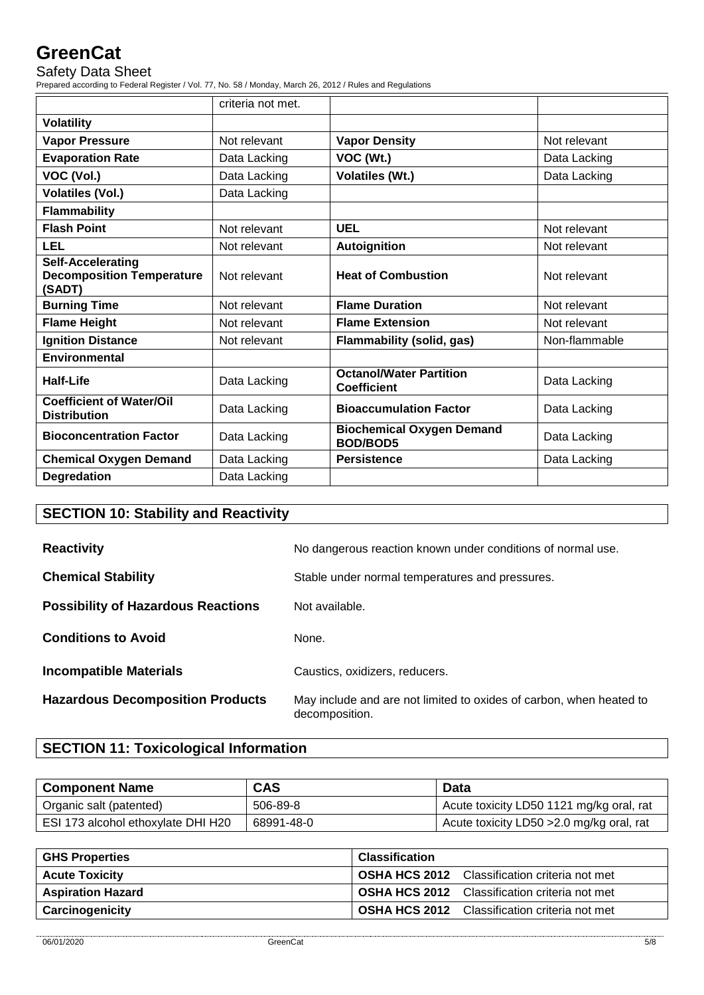Safety Data Sheet

Prepared according to Federal Register / Vol. 77, No. 58 / Monday, March 26, 2012 / Rules and Regulations

|                                                                        | criteria not met. |                                                      |               |
|------------------------------------------------------------------------|-------------------|------------------------------------------------------|---------------|
| <b>Volatility</b>                                                      |                   |                                                      |               |
| <b>Vapor Pressure</b>                                                  | Not relevant      | <b>Vapor Density</b>                                 | Not relevant  |
| <b>Evaporation Rate</b>                                                | Data Lacking      | VOC (Wt.)                                            | Data Lacking  |
| VOC (Vol.)                                                             | Data Lacking      | <b>Volatiles (Wt.)</b>                               | Data Lacking  |
| <b>Volatiles (Vol.)</b>                                                | Data Lacking      |                                                      |               |
| <b>Flammability</b>                                                    |                   |                                                      |               |
| <b>Flash Point</b>                                                     | Not relevant      | <b>UEL</b>                                           | Not relevant  |
| LEL                                                                    | Not relevant      | <b>Autoignition</b>                                  | Not relevant  |
| <b>Self-Accelerating</b><br><b>Decomposition Temperature</b><br>(SADT) | Not relevant      | <b>Heat of Combustion</b>                            | Not relevant  |
| <b>Burning Time</b>                                                    | Not relevant      | <b>Flame Duration</b>                                | Not relevant  |
| <b>Flame Height</b>                                                    | Not relevant      | <b>Flame Extension</b>                               | Not relevant  |
| <b>Ignition Distance</b>                                               | Not relevant      | <b>Flammability (solid, gas)</b>                     | Non-flammable |
| Environmental                                                          |                   |                                                      |               |
| Half-Life                                                              | Data Lacking      | <b>Octanol/Water Partition</b><br><b>Coefficient</b> | Data Lacking  |
| <b>Coefficient of Water/Oil</b><br><b>Distribution</b>                 | Data Lacking      | <b>Bioaccumulation Factor</b>                        | Data Lacking  |
| <b>Bioconcentration Factor</b>                                         | Data Lacking      | <b>Biochemical Oxygen Demand</b><br><b>BOD/BOD5</b>  | Data Lacking  |
| <b>Chemical Oxygen Demand</b>                                          | Data Lacking      | <b>Persistence</b>                                   | Data Lacking  |
| <b>Degredation</b>                                                     | Data Lacking      |                                                      |               |

## **SECTION 10: Stability and Reactivity**

| <b>Reactivity</b>                         | No dangerous reaction known under conditions of normal use.                           |  |
|-------------------------------------------|---------------------------------------------------------------------------------------|--|
| <b>Chemical Stability</b>                 | Stable under normal temperatures and pressures.                                       |  |
| <b>Possibility of Hazardous Reactions</b> | Not available.                                                                        |  |
| <b>Conditions to Avoid</b>                | None.                                                                                 |  |
| <b>Incompatible Materials</b>             | Caustics, oxidizers, reducers.                                                        |  |
| <b>Hazardous Decomposition Products</b>   | May include and are not limited to oxides of carbon, when heated to<br>decomposition. |  |

## **SECTION 11: Toxicological Information**

| <b>Component Name</b>              | <b>CAS</b> | Data                                      |
|------------------------------------|------------|-------------------------------------------|
| Organic salt (patented)            | 506-89-8   | Acute toxicity LD50 1121 mg/kg oral, rat  |
| ESI 173 alcohol ethoxylate DHI H20 | 68991-48-0 | Acute toxicity LD50 > 2.0 mg/kg oral, rat |

| <b>GHS Properties</b>    | <b>Classification</b>                                |  |
|--------------------------|------------------------------------------------------|--|
| <b>Acute Toxicity</b>    | <b>OSHA HCS 2012</b> Classification criteria not met |  |
| <b>Aspiration Hazard</b> | <b>OSHA HCS 2012</b> Classification criteria not met |  |
| Carcinogenicity          | <b>OSHA HCS 2012</b> Classification criteria not met |  |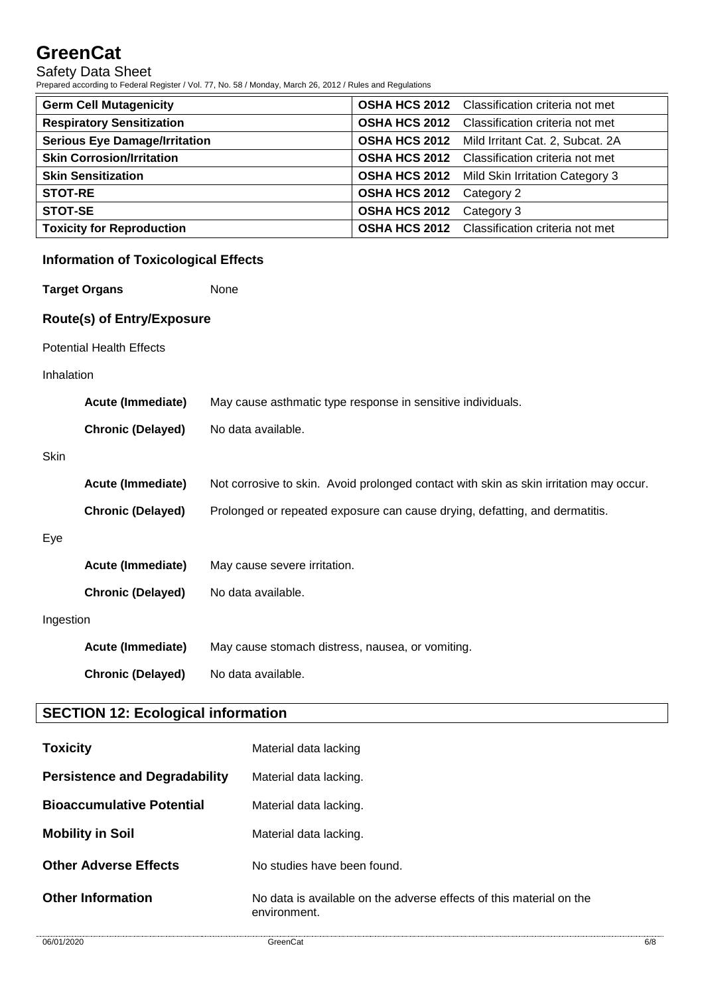Safety Data Sheet

Prepared according to Federal Register / Vol. 77, No. 58 / Monday, March 26, 2012 / Rules and Regulations

| <b>Germ Cell Mutagenicity</b>        |                      | <b>OSHA HCS 2012</b> Classification criteria not met |
|--------------------------------------|----------------------|------------------------------------------------------|
| <b>Respiratory Sensitization</b>     | <b>OSHA HCS 2012</b> | Classification criteria not met                      |
| <b>Serious Eye Damage/Irritation</b> | <b>OSHA HCS 2012</b> | Mild Irritant Cat. 2, Subcat. 2A                     |
| <b>Skin Corrosion/Irritation</b>     | <b>OSHA HCS 2012</b> | Classification criteria not met                      |
| <b>Skin Sensitization</b>            |                      | <b>OSHA HCS 2012</b> Mild Skin Irritation Category 3 |
| <b>STOT-RE</b>                       | <b>OSHA HCS 2012</b> | Category 2                                           |
| <b>STOT-SE</b>                       | <b>OSHA HCS 2012</b> | Category 3                                           |
| <b>Toxicity for Reproduction</b>     |                      | <b>OSHA HCS 2012</b> Classification criteria not met |

### **Information of Toxicological Effects**

**Target Organs** None

#### **Route(s) of Entry/Exposure**

Potential Health Effects

#### Inhalation

|             | <b>Acute (Immediate)</b> | May cause asthmatic type response in sensitive individuals.                            |  |
|-------------|--------------------------|----------------------------------------------------------------------------------------|--|
|             | <b>Chronic (Delayed)</b> | No data available.                                                                     |  |
| <b>Skin</b> |                          |                                                                                        |  |
|             | <b>Acute (Immediate)</b> | Not corrosive to skin. Avoid prolonged contact with skin as skin irritation may occur. |  |
|             | <b>Chronic (Delayed)</b> | Prolonged or repeated exposure can cause drying, defatting, and dermatitis.            |  |
| Eye         |                          |                                                                                        |  |
|             | <b>Acute (Immediate)</b> | May cause severe irritation.                                                           |  |
|             | <b>Chronic (Delayed)</b> | No data available.                                                                     |  |
| Ingestion   |                          |                                                                                        |  |
|             | <b>Acute (Immediate)</b> | May cause stomach distress, nausea, or vomiting.                                       |  |
|             | <b>Chronic (Delayed)</b> | No data available.                                                                     |  |

### **SECTION 12: Ecological information**

| <b>Toxicity</b>                      | Material data lacking                                                               |
|--------------------------------------|-------------------------------------------------------------------------------------|
| <b>Persistence and Degradability</b> | Material data lacking.                                                              |
| <b>Bioaccumulative Potential</b>     | Material data lacking.                                                              |
| <b>Mobility in Soil</b>              | Material data lacking.                                                              |
| <b>Other Adverse Effects</b>         | No studies have been found.                                                         |
| <b>Other Information</b>             | No data is available on the adverse effects of this material on the<br>environment. |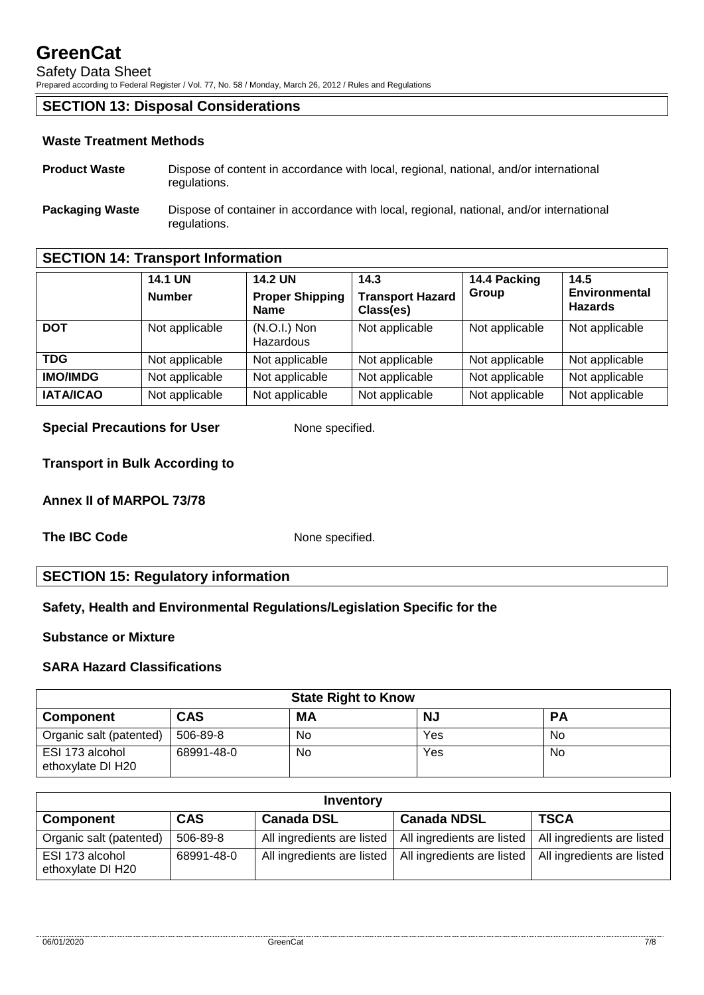Safety Data Sheet

Prepared according to Federal Register / Vol. 77, No. 58 / Monday, March 26, 2012 / Rules and Regulations

#### **SECTION 13: Disposal Considerations**

#### **Waste Treatment Methods**

- **Product Waste** Dispose of content in accordance with local, regional, national, and/or international regulations.
- **Packaging Waste** Dispose of container in accordance with local, regional, national, and/or international regulations.

#### **SECTION 14: Transport Information**

|                  | <b>14.1 UN</b><br><b>Number</b> | <b>14.2 UN</b><br><b>Proper Shipping</b><br><b>Name</b> | 14.3<br><b>Transport Hazard</b><br>Class(es) | 14.4 Packing<br>Group | 14.5<br><b>Environmental</b><br><b>Hazards</b> |
|------------------|---------------------------------|---------------------------------------------------------|----------------------------------------------|-----------------------|------------------------------------------------|
| <b>DOT</b>       | Not applicable                  | $(N.O.I.)$ Non<br>Hazardous                             | Not applicable                               | Not applicable        | Not applicable                                 |
| <b>TDG</b>       | Not applicable                  | Not applicable                                          | Not applicable                               | Not applicable        | Not applicable                                 |
| <b>IMO/IMDG</b>  | Not applicable                  | Not applicable                                          | Not applicable                               | Not applicable        | Not applicable                                 |
| <b>IATA/ICAO</b> | Not applicable                  | Not applicable                                          | Not applicable                               | Not applicable        | Not applicable                                 |

#### **Special Precautions for User** None specified.

**Transport in Bulk According to**

**Annex II of MARPOL 73/78**

**The IBC Code** None specified.

#### **SECTION 15: Regulatory information**

#### **Safety, Health and Environmental Regulations/Legislation Specific for the**

#### **Substance or Mixture**

#### **SARA Hazard Classifications**

| <b>State Right to Know</b>           |            |     |           |           |  |  |
|--------------------------------------|------------|-----|-----------|-----------|--|--|
| <b>Component</b>                     | CAS        | МA  | <b>NJ</b> | <b>PA</b> |  |  |
| Organic salt (patented)              | 506-89-8   | No. | Yes       | No        |  |  |
| ESI 173 alcohol<br>ethoxylate DI H20 | 68991-48-0 | No. | Yes       | No        |  |  |

| Inventory                            |            |                            |                            |                            |  |
|--------------------------------------|------------|----------------------------|----------------------------|----------------------------|--|
| <b>Component</b>                     | <b>CAS</b> | <b>Canada DSL</b>          | <b>Canada NDSL</b>         | <b>TSCA</b>                |  |
| Organic salt (patented)              | 506-89-8   | All ingredients are listed | All ingredients are listed | All ingredients are listed |  |
| ESI 173 alcohol<br>ethoxylate DI H20 | 68991-48-0 | All ingredients are listed | All ingredients are listed | All ingredients are listed |  |